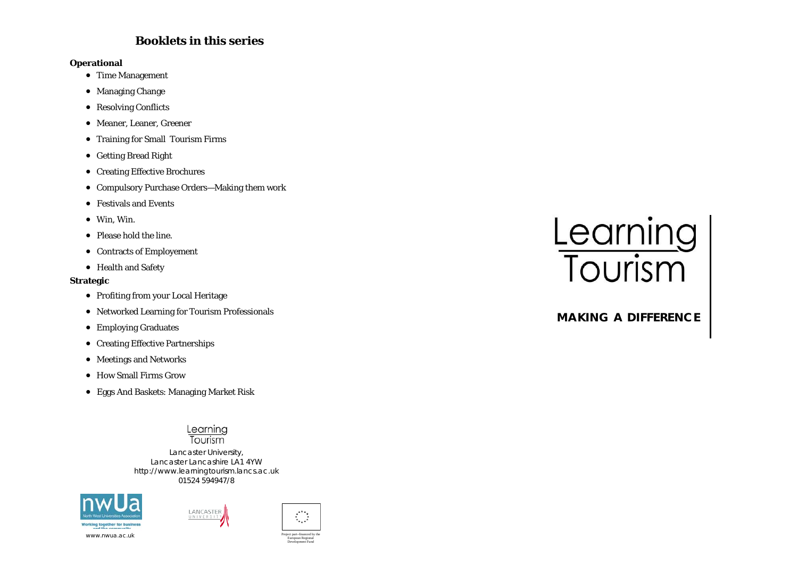# **Booklets in this series**

#### **Operational**

- Time Management
- Managing Change
- Resolving Conflicts
- Meaner, Leaner, Greener
- Training for Small Tourism Firms
- Getting Bread Right
- Creating Effective Brochures
- Compulsory Purchase Orders—Making them work
- Festivals and Events
- Win, Win.
- Please hold the line.
- Contracts of Employement
- Health and Safety

#### **Strategic**

- Profiting from your Local Heritage
- Networked Learning for Tourism Professionals
- Employing Graduates
- Creating Effective Partnerships
- Meetings and Networks
- How Small Firms Grow
- Eggs And Baskets: Managing Market Risk

#### Learning Tourism

Lancaster University, Lancaster Lancashire LA1 4YW http://www.learningtourism.lancs.ac.uk 01524 594947/8







Development Fund

# Learning<br>Tourism

# **MAKING A DIFFERENCE**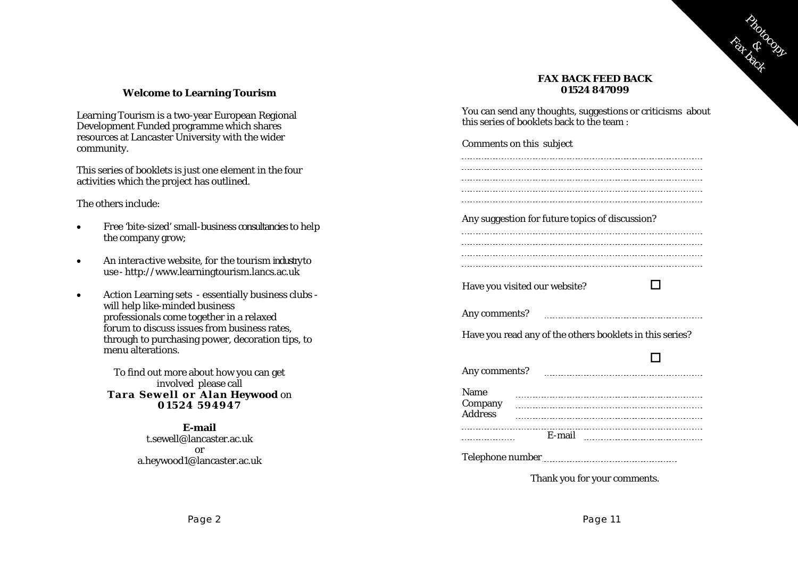

#### **FAX BACK FEED BACK 01524 847099**

#### **Welcome to Learning Tourism**

Learning Tourism is a two-year European Regional Development Funded programme which shares resources at Lancaster University with the wider community.

This series of booklets is just one element in the four activities which the project has outlined.

The others include:

- • Free 'bite-sized' small-business consultancies to help the company grow;
- •An interactive website, for the tourism industry to use - http://www.learningtourism.lancs.ac.uk
- • Action Learning sets - essentially business clubs will help like-minded business professionals come together in a relaxed forum to discuss issues from business rates, through to purchasing power, decoration tips, to menu alterations.

To find out more about how you can get involved please call **Tara Sewell o r Alan Heywood** on **01524 594947** 

> **E-mail** t.sewell@lancaster.ac.uk or a.heywood1@lancaster.ac.uk

You can send any thoughts, suggestions or criticisms about this series of booklets back to the team :

| Comments on this subject                                 |        |                                    |  |
|----------------------------------------------------------|--------|------------------------------------|--|
|                                                          |        |                                    |  |
|                                                          |        |                                    |  |
|                                                          |        | ---------------------------------- |  |
| Any suggestion for future topics of discussion?          |        |                                    |  |
|                                                          |        |                                    |  |
|                                                          |        |                                    |  |
| Have you visited our website?                            |        |                                    |  |
|                                                          |        |                                    |  |
| Have you read any of the others booklets in this series? |        |                                    |  |
|                                                          |        |                                    |  |
| Any comments?                                            |        |                                    |  |
| Name<br>Company                                          |        |                                    |  |
| <b>Address</b>                                           |        |                                    |  |
|                                                          | E-mail |                                    |  |
|                                                          |        |                                    |  |
|                                                          |        |                                    |  |

Thank you for your comments.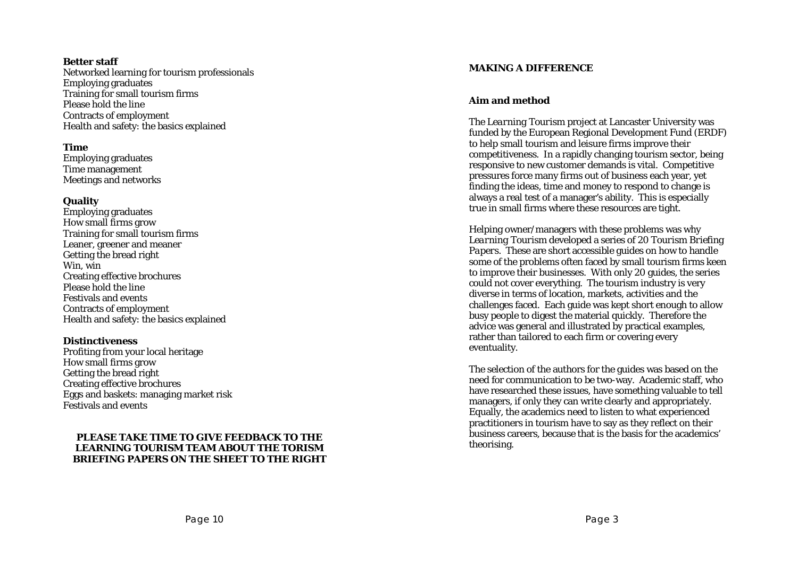#### **Better staff**

Networked learning for tourism professionals Employing graduates Training for small tourism firms Please hold the line Contracts of employment Health and safety: the basics explained

#### **Time**

Employing graduates Time management Meetings and networks

#### **Quality**

Employing graduates How small firms grow Training for small tourism firms Leaner, greener and meaner Getting the bread right Win, win Creating effective brochures Please hold the line Festivals and events Contracts of employment Health and safety: the basics explained

#### **Distinctiveness**

Profiting from your local heritage How small firms grow Getting the bread right Creating effective brochures Eggs and baskets: managing market risk Festivals and events

#### **PLEASE TAKE TIME TO GIVE FEEDBACK TO THE LEARNING TOURISM TEAM ABOUT THE TORISM BRIEFING PAPERS ON THE SHEET TO THE RIGHT**

#### **MAKING A DIFFERENCE**

#### **Aim and method**

The *Learning Tourism* project at Lancaster University was funded by the European Regional Development Fund (ERDF) to help small tourism and leisure firms improve their competitiveness. In a rapidly changing tourism sector, being responsive to new customer demands is vital. Competitive pressures force many firms out of business each year, yet finding the ideas, time and money to respond to change is always a real test of a manager's ability. This is especially true in small firms where these resources are tight.

Helping owner/managers with these problems was why *Learning Tourism* developed a series of 20 *Tourism Briefing Papers.* These are short accessible guides on how to handle some of the problems often faced by small tourism firms keen to improve their businesses. With only 20 guides, the series could not cover everything. The tourism industry is very diverse in terms of location, markets, activities and the challenges faced. Each guide was kept short enough to allow busy people to digest the material quickly. Therefore the advice was general and illustrated by practical examples, rather than tailored to each firm or covering every eventuality.

The selection of the authors for the guides was based on the need for communication to be two-way. Academic staff, who have researched these issues, have something valuable to tell managers, if only they can write clearly and appropriately. Equally, the academics need to listen to what experienced practitioners in tourism have to say as they reflect on their business careers, because that is the basis for the academics' theorising.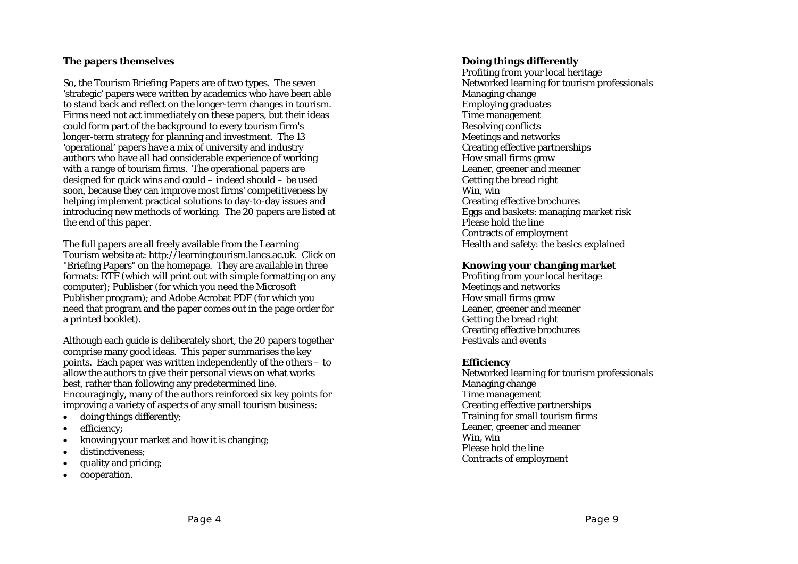## **The papers themselves**

So, the *Tourism Briefing Papers* are of two types. The seven 'strategic' papers were written by academics who have been able to stand back and reflect on the longer-term changes in tourism. Firms need not act immediately on these papers, but their ideas could form part of the background to every tourism firm's longer-term strategy for planning and investment. The 13 'operational' papers have a mix of university and industry authors who have all had considerable experience of working with a range of tourism firms. The operational papers are designed for quick wins and could – indeed should – be used soon, because they can improve most firms' competitiveness by helping implement practical solutions to day-to-day issues and introducing new methods of working. The 20 papers are listed at the end of this paper.

The full papers are all freely available from the *Learning Tourism* website at: http://learningtourism.lancs.ac.uk. Click on "Briefing Papers" on the homepage. They are available in three formats: RTF (which will print out with simple formatting on any computer); Publisher (for which you need the Microsoft Publisher program); and Adobe Acrobat PDF (for which you need that program and the paper comes out in the page order for a printed booklet).

Although each guide is deliberately short, the 20 papers together comprise many good ideas. This paper summarises the key points. Each paper was written independently of the others – to allow the authors to give their personal views on what works best, rather than following any predetermined line. Encouragingly, many of the authors reinforced six key points for improving a variety of aspects of any small tourism business:

- doing things differently;
- efficiency:
- knowing your market and how it is changing;
- distinctiveness;
- quality and pricing;
- cooperation.

## **Doing things differently**

Profiting from your local heritage Networked learning for tourism professionals Managing change Employing graduates Time management Resolving conflicts Meetings and networks Creating effective partnerships How small firms grow Leaner, greener and meaner Getting the bread right Win, win Creating effective brochures Eggs and baskets: managing market risk Please hold the line Contracts of employment Health and safety: the basics explained

#### **Knowing your changing market**

Profiting from your local heritage Meetings and networks How small firms grow Leaner, greener and meaner Getting the bread right Creating effective brochures Festivals and events

#### **Efficiency**

Networked learning for tourism professionals Managing change Time management Creating effective partnerships Training for small tourism firms Leaner, greener and meaner Win, win Please hold the line Contracts of employment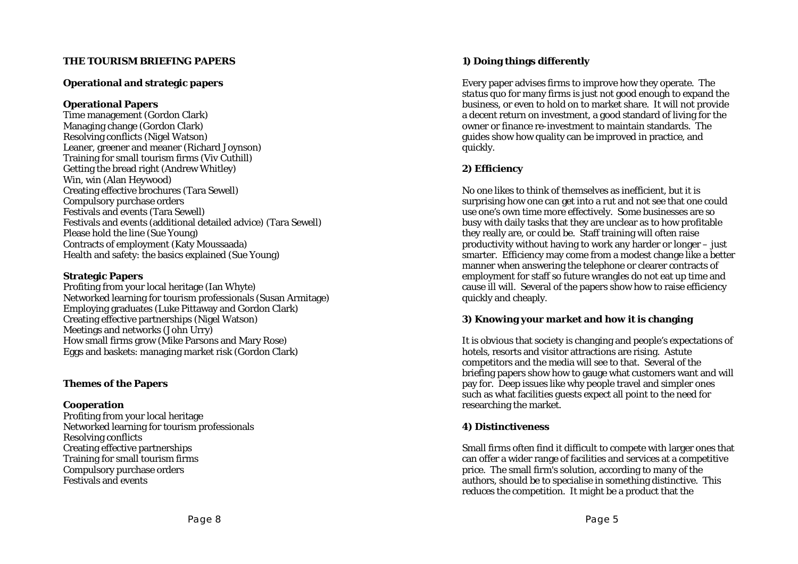# **THE TOURISM BRIEFING PAPERS**

#### **Operational and strategic papers**

#### **Operational Papers**

Time management (Gordon Clark) Managing change (Gordon Clark) Resolving conflicts (Nigel Watson) Leaner, greener and meaner (Richard Joynson) Training for small tourism firms (Viv Cuthill) Getting the bread right (Andrew Whitley) Win, win (Alan Heywood) Creating effective brochures (Tara Sewell) Compulsory purchase orders Festivals and events (Tara Sewell) Festivals and events (additional detailed advice) (Tara Sewell) Please hold the line (Sue Young) Contracts of employment (Katy Moussaada) Health and safety: the basics explained (Sue Young)

#### **Strategic Papers**

Profiting from your local heritage (Ian Whyte) Networked learning for tourism professionals (Susan Armitage) Employing graduates (Luke Pittaway and Gordon Clark) Creating effective partnerships (Nigel Watson) Meetings and networks (John Urry) How small firms grow (Mike Parsons and Mary Rose) Eggs and baskets: managing market risk (Gordon Clark)

#### **Themes of the Papers**

#### **Cooperation**

Profiting from your local heritage Networked learning for tourism professionals Resolving conflicts Creating effective partnerships Training for small tourism firms Compulsory purchase orders Festivals and events

Every paper advises firms to improve how they operate. The *status quo* for many firms is just not good enough to expand the business, or even to hold on to market share. It will not provide a decent return on investment, a good standard of living for the owner or finance re-investment to maintain standards. The guides show how quality can be improved in practice, and quickly.

# **2) Efficiency**

No one likes to think of themselves as inefficient, but it is surprising how one can get into a rut and not see that one could use one's own time more effectively. Some businesses are so busy with daily tasks that they are unclear as to how profitable they really are, or could be. Staff training will often raise productivity without having to work any harder or longer – just smarter. Efficiency may come from a modest change like a better manner when answering the telephone or clearer contracts of employment for staff so future wrangles do not eat up time and cause ill will. Several of the papers show how to raise efficiency quickly and cheaply.

#### **3) Knowing your market and how it is changing**

It is obvious that society is changing and people's expectations of hotels, resorts and visitor attractions are rising. Astute competitors and the media will see to that. Several of the briefing papers show how to gauge what customers want and will pay for. Deep issues like why people travel and simpler ones such as what facilities guests expect all point to the need for researching the market.

#### **4) Distinctiveness**

Small firms often find it difficult to compete with larger ones that can offer a wider range of facilities and services at a competitive price. The small firm's solution, according to many of the authors, should be to specialise in something distinctive. This reduces the competition. It might be a product that the